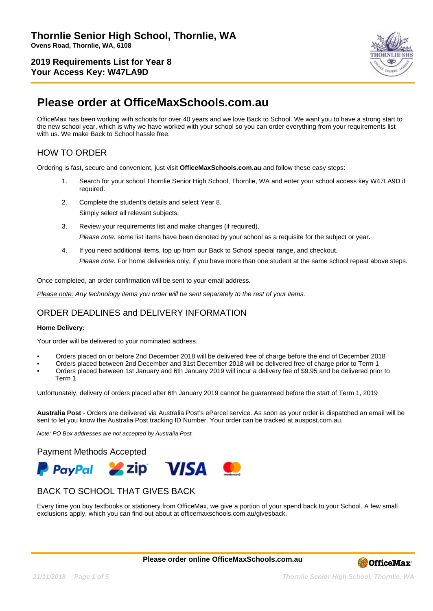

# **Please order at OfficeMaxSchools.com.au**

OfficeMax has been working with schools for over 40 years and we love Back to School. We want you to have a strong start to the new school year, which is why we have worked with your school so you can order everything from your requirements list with us. We make Back to School hassle free.

# HOW TO ORDER

Ordering is fast, secure and convenient, just visit **OfficeMaxSchools.com.au** and follow these easy steps:

- 1. Search for your school Thornlie Senior High School, Thornlie, WA and enter your school access key W47LA9D if required.
- 2. Complete the student's details and select Year 8. Simply select all relevant subjects.
- 3. Review your requirements list and make changes (if required). Please note: some list items have been denoted by your school as a requisite for the subject or year.
- 4. If you need additional items, top up from our Back to School special range, and checkout. Please note: For home deliveries only, if you have more than one student at the same school repeat above steps.

Once completed, an order confirmation will be sent to your email address.

Please note: Any technology items you order will be sent separately to the rest of your items.

## ORDER DEADLINES and DELIVERY INFORMATION

#### **Home Delivery:**

Your order will be delivered to your nominated address.

- Orders placed on or before 2nd December 2018 will be delivered free of charge before the end of December 2018
- Orders placed between 2nd December and 31st December 2018 will be delivered free of charge prior to Term 1
- Orders placed between 1st January and 6th January 2019 will incur a delivery fee of \$9.95 and be delivered prior to Term 1

Unfortunately, delivery of orders placed after 6th January 2019 cannot be guaranteed before the start of Term 1, 2019

**Australia Post** - Orders are delivered via Australia Post's eParcel service. As soon as your order is dispatched an email will be sent to let you know the Australia Post tracking ID Number. Your order can be tracked at auspost.com.au.

Note: PO Box addresses are not accepted by Australia Post.

Payment Methods Accepted



## BACK TO SCHOOL THAT GIVES BACK

Every time you buy textbooks or stationery from OfficeMax, we give a portion of your spend back to your School. A few small exclusions apply, which you can find out about at officemaxschools.com.au/givesback.

**Please order online OfficeMaxSchools.com.au**

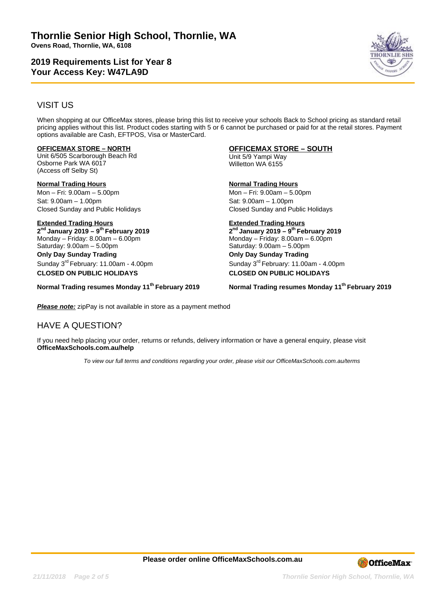

# VISIT US

When shopping at our OfficeMax stores, please bring this list to receive your schools Back to School pricing as standard retail pricing applies without this list. Product codes starting with 5 or 6 cannot be purchased or paid for at the retail stores. Payment options available are Cash, EFTPOS, Visa or MasterCard.

### **OFFICEMAX STORE – NORTH**

Unit 6/505 Scarborough Beach Rd Osborne Park WA 6017 (Access off Selby St)

**Normal Trading Hours** Mon – Fri: 9.00am – 5.00pm Sat: 9.00am – 1.00pm Closed Sunday and Public Holidays

**Extended Trading Hours 2 nd January 2019 – 9th February 2019** Monday – Friday: 8.00am – 6.00pm Saturday: 9.00am – 5.00pm **Only Day Sunday Trading** Sunday 3rd February: 11.00am - 4.00pm **CLOSED ON PUBLIC HOLIDAYS**

**Normal Trading resumes Monday 11th February 2019**

### **OFFICEMAX STORE – SOUTH**

Unit 5/9 Yampi Way Willetton WA 6155

**Normal Trading Hours** Mon – Fri: 9.00am – 5.00pm

Sat: 9.00am – 1.00pm Closed Sunday and Public Holidays

#### **Extended Trading Hours 2 nd January 2019 – 9th February 2019**

Monday – Friday: 8.00am – 6.00pm Saturday: 9.00am – 5.00pm **Only Day Sunday Trading** Sunday 3rd February: 11.00am - 4.00pm **CLOSED ON PUBLIC HOLIDAYS**

**Normal Trading resumes Monday 11th February 2019**

**Please note:** zipPay is not available in store as a payment method

# HAVE A QUESTION?

If you need help placing your order, returns or refunds, delivery information or have a general enquiry, please visit **OfficeMaxSchools.com.au/help**

To view our full terms and conditions regarding your order, please visit our OfficeMaxSchools.com.au/terms

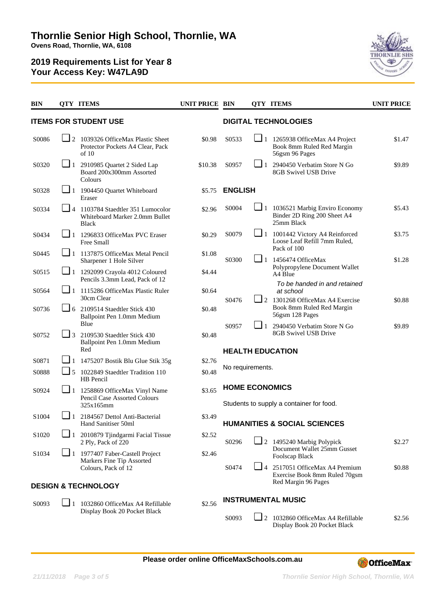

| <b>BIN</b>                   |            | <b>OTY ITEMS</b>                                                                           | <b>UNIT PRICE BIN</b> |                                                                   |                             | <b>QTY ITEMS</b>                                                                    | <b>UNIT PRICE</b> |  |  |  |
|------------------------------|------------|--------------------------------------------------------------------------------------------|-----------------------|-------------------------------------------------------------------|-----------------------------|-------------------------------------------------------------------------------------|-------------------|--|--|--|
| <b>ITEMS FOR STUDENT USE</b> |            |                                                                                            |                       |                                                                   | <b>DIGITAL TECHNOLOGIES</b> |                                                                                     |                   |  |  |  |
| S0086                        |            | $\Box$ 2 1039326 OfficeMax Plastic Sheet<br>Protector Pockets A4 Clear, Pack<br>of 10      | \$0.98                | S0533                                                             | $\Box$ 1                    | 1265938 OfficeMax A4 Project<br>Book 8mm Ruled Red Margin<br>56gsm 96 Pages         | \$1.47            |  |  |  |
| S0320                        | $\sqcup_1$ | 2910985 Quartet 2 Sided Lap<br>Board 200x300mm Assorted<br>Colours                         | \$10.38               | S0957                                                             | $\sqcup_1$                  | 2940450 Verbatim Store N Go<br>8GB Swivel USB Drive                                 | \$9.89            |  |  |  |
| S0328                        | $\Box$ 1   | 1904450 Quartet Whiteboard<br>Eraser                                                       | \$5.75                | <b>ENGLISH</b>                                                    |                             |                                                                                     |                   |  |  |  |
| S0334                        |            | $\Box$ 4 1103784 Staedtler 351 Lumocolor<br>Whiteboard Marker 2.0mm Bullet<br><b>Black</b> | \$2.96                | S0004                                                             |                             | $\Box$ 1 1036521 Marbig Enviro Economy<br>Binder 2D Ring 200 Sheet A4<br>25mm Black | \$5.43            |  |  |  |
| S0434                        |            | $\Box$ 1 1296833 OfficeMax PVC Eraser<br>Free Small                                        | \$0.29                | S0079                                                             |                             | 1 1001442 Victory A4 Reinforced<br>Loose Leaf Refill 7mm Ruled,<br>Pack of 100      | \$3.75<br>\$1.28  |  |  |  |
| S0445                        |            | $\boxed{\phantom{1}}$ 1 1137875 OfficeMax Metal Pencil<br>Sharpener 1 Hole Silver          | \$1.08                | S0300                                                             |                             | $\Box$ 1 1456474 OfficeMax<br>Polypropylene Document Wallet                         |                   |  |  |  |
| S0515                        |            | $\Box$ 1 1292099 Crayola 4012 Coloured<br>Pencils 3.3mm Lead, Pack of 12                   | \$4.44                |                                                                   |                             | A4 Blue<br>To be handed in and retained                                             |                   |  |  |  |
| S0564                        |            | 1 115286 OfficeMax Plastic Ruler<br>30cm Clear                                             | \$0.64                | S0476                                                             | 2                           | at school<br>1301268 OfficeMax A4 Exercise                                          | \$0.88            |  |  |  |
| S0736                        |            | $\Box$ 6 2109514 Staedtler Stick 430<br>Ballpoint Pen 1.0mm Medium                         | \$0.48                |                                                                   |                             | Book 8mm Ruled Red Margin<br>56gsm 128 Pages                                        |                   |  |  |  |
| S0752                        | $\Box$ 3   | Blue<br>2109530 Staedtler Stick 430                                                        | \$0.48                | S0957                                                             | $\Box$ 1                    | 2940450 Verbatim Store N Go<br>8GB Swivel USB Drive                                 | \$9.89            |  |  |  |
|                              |            | Ballpoint Pen 1.0mm Medium<br>Red                                                          |                       | <b>HEALTH EDUCATION</b>                                           |                             |                                                                                     |                   |  |  |  |
| S0871                        |            | 1 1475207 Bostik Blu Glue Stik 35g                                                         | \$2.76                | No requirements.                                                  |                             |                                                                                     |                   |  |  |  |
| S0888                        | $\Box$ 5   | 1022849 Staedtler Tradition 110<br>HB Pencil                                               | \$0.48                |                                                                   |                             |                                                                                     |                   |  |  |  |
| S0924                        |            | 1 1258869 OfficeMax Vinyl Name<br>Pencil Case Assorted Colours<br>325x165mm                | \$3.65                | <b>HOME ECONOMICS</b><br>Students to supply a container for food. |                             |                                                                                     |                   |  |  |  |
| S1004                        | ❏ 1        | 2184567 Dettol Anti-Bacterial<br>Hand Sanitiser 50ml                                       | \$3.49                | <b>HUMANITIES &amp; SOCIAL SCIENCES</b>                           |                             |                                                                                     |                   |  |  |  |
| S1020                        |            | 1 2010879 Tjindgarmi Facial Tissue<br>2 Ply, Pack of 220                                   | \$2.52                | S0296                                                             |                             | 2 1495240 Marbig Polypick                                                           | \$2.27            |  |  |  |
| S1034                        |            | $\Box$ 1 1977407 Faber-Castell Project<br>Markers Fine Tip Assorted<br>Colours, Pack of 12 | \$2.46                | S0474                                                             |                             | Document Wallet 25mm Gusset<br>Foolscap Black                                       |                   |  |  |  |
|                              |            |                                                                                            |                       |                                                                   | ■ 4                         | 2517051 OfficeMax A4 Premium<br>Exercise Book 8mm Ruled 70gsm                       | \$0.88            |  |  |  |
|                              |            | <b>DESIGN &amp; TECHNOLOGY</b>                                                             |                       |                                                                   |                             | Red Margin 96 Pages                                                                 |                   |  |  |  |
| S0093                        |            | $\Box$ 1 1032860 OfficeMax A4 Refillable<br>Display Book 20 Pocket Black                   | \$2.56                |                                                                   |                             | <b>INSTRUMENTAL MUSIC</b>                                                           |                   |  |  |  |
|                              |            |                                                                                            |                       | S0093                                                             |                             | $\Box$ 2 1032860 OfficeMax A4 Refillable<br>Display Book 20 Pocket Black            | \$2.56            |  |  |  |

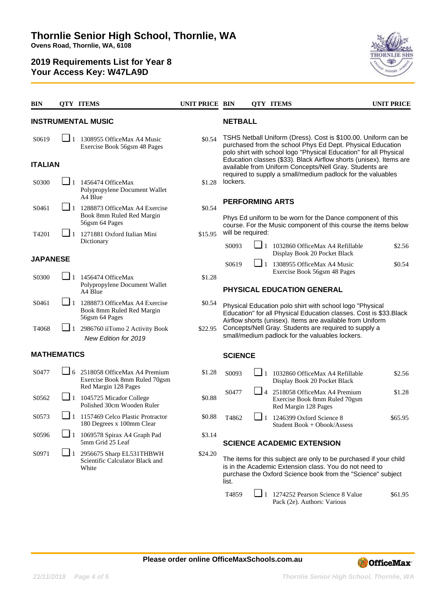

| <b>BIN</b>                |          | <b>QTY ITEMS</b>                                                                               | UNIT PRICE BIN |                                                                                                                                                                                                     |                                                                                                                               | <b>QTY ITEMS</b>                  |                                                                         | <b>UNIT PRICE</b> |  |  |
|---------------------------|----------|------------------------------------------------------------------------------------------------|----------------|-----------------------------------------------------------------------------------------------------------------------------------------------------------------------------------------------------|-------------------------------------------------------------------------------------------------------------------------------|-----------------------------------|-------------------------------------------------------------------------|-------------------|--|--|
| <b>INSTRUMENTAL MUSIC</b> |          |                                                                                                |                |                                                                                                                                                                                                     | <b>NETBALL</b>                                                                                                                |                                   |                                                                         |                   |  |  |
| S0619                     | $-11$    | 1308955 OfficeMax A4 Music<br>Exercise Book 56gsm 48 Pages                                     | \$0.54         | TSHS Netball Uniform (Dress). Cost is \$100.00. Uniform can be<br>purchased from the school Phys Ed Dept. Physical Education<br>polo shirt with school logo "Physical Education" for all Physical   |                                                                                                                               |                                   |                                                                         |                   |  |  |
| <b>ITALIAN</b>            |          |                                                                                                |                |                                                                                                                                                                                                     | Education classes (\$33). Black Airflow shorts (unisex). Items are<br>available from Uniform Concepts/Nell Gray. Students are |                                   |                                                                         |                   |  |  |
| S0300                     | $\Box$ 1 | 1456474 OfficeMax<br>Polypropylene Document Wallet<br>A4 Blue                                  | \$1.28         | required to supply a small/medium padlock for the valuables<br>lockers.<br><b>PERFORMING ARTS</b><br>Phys Ed uniform to be worn for the Dance component of this                                     |                                                                                                                               |                                   |                                                                         |                   |  |  |
| S0461                     | $\Box$ 1 | 1288873 OfficeMax A4 Exercise<br>Book 8mm Ruled Red Margin<br>56gsm 64 Pages                   | \$0.54         |                                                                                                                                                                                                     |                                                                                                                               |                                   |                                                                         |                   |  |  |
| T4201                     |          | 1271881 Oxford Italian Mini                                                                    | \$15.95        | course. For the Music component of this course the items below<br>will be required:                                                                                                                 |                                                                                                                               |                                   |                                                                         |                   |  |  |
|                           |          | Dictionary                                                                                     |                | S0093                                                                                                                                                                                               | ❏ 1                                                                                                                           |                                   | 1032860 OfficeMax A4 Refillable<br>Display Book 20 Pocket Black         | \$2.56            |  |  |
| <b>JAPANESE</b>           |          |                                                                                                |                | S0619                                                                                                                                                                                               |                                                                                                                               |                                   | $\Box$ 1 1308955 OfficeMax A4 Music                                     | \$0.54            |  |  |
| S0300                     | $\Box$ 1 | 1456474 OfficeMax<br>Polypropylene Document Wallet<br>A4 Blue                                  | \$1.28         | Exercise Book 56gsm 48 Pages<br>PHYSICAL EDUCATION GENERAL                                                                                                                                          |                                                                                                                               |                                   |                                                                         |                   |  |  |
| S0461                     | ❏ 1.     | 1288873 OfficeMax A4 Exercise<br>Book 8mm Ruled Red Margin<br>56gsm 64 Pages                   | \$0.54         | Physical Education polo shirt with school logo "Physical<br>Education" for all Physical Education classes. Cost is \$33. Black<br>Airflow shorts (unisex). Items are available from Uniform         |                                                                                                                               |                                   |                                                                         |                   |  |  |
| T4068                     | $\Box$ 1 | 2986760 iiTomo 2 Activity Book<br>New Edition for 2019                                         | \$22.95        | Concepts/Nell Gray. Students are required to supply a<br>small/medium padlock for the valuables lockers.                                                                                            |                                                                                                                               |                                   |                                                                         |                   |  |  |
| <b>MATHEMATICS</b>        |          |                                                                                                |                | <b>SCIENCE</b>                                                                                                                                                                                      |                                                                                                                               |                                   |                                                                         |                   |  |  |
| S0477                     |          | $\Box$ 6 2518058 OfficeMax A4 Premium<br>Exercise Book 8mm Ruled 70gsm<br>Red Margin 128 Pages | \$1.28         | S0093                                                                                                                                                                                               | ∟ 1                                                                                                                           |                                   | 1032860 OfficeMax A4 Refillable<br>Display Book 20 Pocket Black         | \$2.56            |  |  |
| S0562                     |          | $\Box$ 1 1045725 Micador College<br>Polished 30cm Wooden Ruler                                 | \$0.88         | S0477                                                                                                                                                                                               | L 4                                                                                                                           | Red Margin 128 Pages              | 2518058 OfficeMax A4 Premium<br>Exercise Book 8mm Ruled 70gsm           | \$1.28            |  |  |
| S <sub>0573</sub>         |          | $\blacksquare$ 1 1157469 Celco Plastic Protractor<br>180 Degrees x 100mm Clear                 | \$0.88         | T4862                                                                                                                                                                                               |                                                                                                                               | $\Box$ 1 1246399 Oxford Science 8 | Student Book + Obook/Assess                                             | \$65.95           |  |  |
| S0596                     | $\Box$ 1 | 1069578 Spirax A4 Graph Pad<br>5mm Grid 25 Leaf                                                | \$3.14         | <b>SCIENCE ACADEMIC EXTENSION</b>                                                                                                                                                                   |                                                                                                                               |                                   |                                                                         |                   |  |  |
| S0971                     | $\Box$ 1 | 2956675 Sharp EL531THBWH<br>Scientific Calculator Black and<br>White                           | \$24.20        | The items for this subject are only to be purchased if your child<br>is in the Academic Extension class. You do not need to<br>purchase the Oxford Science book from the "Science" subject<br>list. |                                                                                                                               |                                   |                                                                         |                   |  |  |
|                           |          |                                                                                                |                | T4859                                                                                                                                                                                               |                                                                                                                               |                                   | $\Box$ 1 1274252 Pearson Science 8 Value<br>Pack (2e). Authors: Various | \$61.95           |  |  |

**Please order online OfficeMaxSchools.com.au**